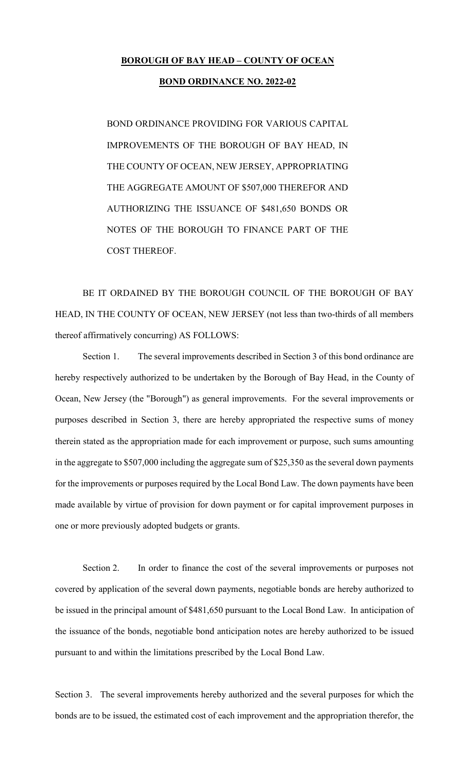## **BOROUGH OF BAY HEAD – COUNTY OF OCEAN**

## **BOND ORDINANCE NO. 2022-02**

BOND ORDINANCE PROVIDING FOR VARIOUS CAPITAL IMPROVEMENTS OF THE BOROUGH OF BAY HEAD, IN THE COUNTY OF OCEAN, NEW JERSEY, APPROPRIATING THE AGGREGATE AMOUNT OF \$507,000 THEREFOR AND AUTHORIZING THE ISSUANCE OF \$481,650 BONDS OR NOTES OF THE BOROUGH TO FINANCE PART OF THE COST THEREOF.

BE IT ORDAINED BY THE BOROUGH COUNCIL OF THE BOROUGH OF BAY HEAD, IN THE COUNTY OF OCEAN, NEW JERSEY (not less than two-thirds of all members thereof affirmatively concurring) AS FOLLOWS:

Section 1. The several improvements described in Section 3 of this bond ordinance are hereby respectively authorized to be undertaken by the Borough of Bay Head, in the County of Ocean, New Jersey (the "Borough") as general improvements. For the several improvements or purposes described in Section 3, there are hereby appropriated the respective sums of money therein stated as the appropriation made for each improvement or purpose, such sums amounting in the aggregate to \$507,000 including the aggregate sum of \$25,350 as the several down payments for the improvements or purposes required by the Local Bond Law. The down payments have been made available by virtue of provision for down payment or for capital improvement purposes in one or more previously adopted budgets or grants.

Section 2. In order to finance the cost of the several improvements or purposes not covered by application of the several down payments, negotiable bonds are hereby authorized to be issued in the principal amount of \$481,650 pursuant to the Local Bond Law. In anticipation of the issuance of the bonds, negotiable bond anticipation notes are hereby authorized to be issued pursuant to and within the limitations prescribed by the Local Bond Law.

Section 3. The several improvements hereby authorized and the several purposes for which the bonds are to be issued, the estimated cost of each improvement and the appropriation therefor, the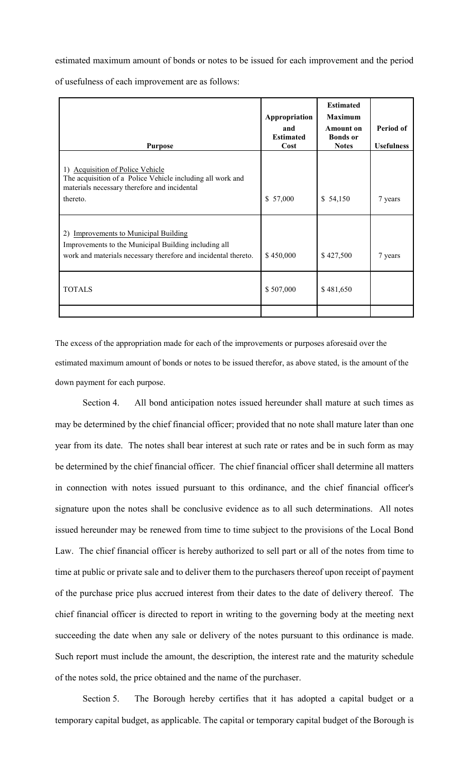estimated maximum amount of bonds or notes to be issued for each improvement and the period

of usefulness of each improvement are as follows:

| <b>Purpose</b>                                                                                                                                                                     | Appropriation<br>and<br><b>Estimated</b><br>Cost | <b>Estimated</b><br><b>Maximum</b><br><b>Amount on</b><br><b>Bonds</b> or<br><b>Notes</b> | Period of<br><b>Usefulness</b> |
|------------------------------------------------------------------------------------------------------------------------------------------------------------------------------------|--------------------------------------------------|-------------------------------------------------------------------------------------------|--------------------------------|
| <b>Acquisition of Police Vehicle</b><br>$\left( \right)$<br>The acquisition of a Police Vehicle including all work and<br>materials necessary therefore and incidental<br>thereto. | \$57,000                                         | \$54,150                                                                                  | 7 years                        |
| <b>Improvements to Municipal Building</b><br>2)<br>Improvements to the Municipal Building including all<br>work and materials necessary therefore and incidental thereto.          | \$450,000                                        | \$427,500                                                                                 | 7 years                        |
| <b>TOTALS</b>                                                                                                                                                                      | \$507,000                                        | \$481,650                                                                                 |                                |

The excess of the appropriation made for each of the improvements or purposes aforesaid over the estimated maximum amount of bonds or notes to be issued therefor, as above stated, is the amount of the down payment for each purpose.

Section 4. All bond anticipation notes issued hereunder shall mature at such times as may be determined by the chief financial officer; provided that no note shall mature later than one year from its date. The notes shall bear interest at such rate or rates and be in such form as may be determined by the chief financial officer. The chief financial officer shall determine all matters in connection with notes issued pursuant to this ordinance, and the chief financial officer's signature upon the notes shall be conclusive evidence as to all such determinations. All notes issued hereunder may be renewed from time to time subject to the provisions of the Local Bond Law. The chief financial officer is hereby authorized to sell part or all of the notes from time to time at public or private sale and to deliver them to the purchasers thereof upon receipt of payment of the purchase price plus accrued interest from their dates to the date of delivery thereof. The chief financial officer is directed to report in writing to the governing body at the meeting next succeeding the date when any sale or delivery of the notes pursuant to this ordinance is made. Such report must include the amount, the description, the interest rate and the maturity schedule of the notes sold, the price obtained and the name of the purchaser.

Section 5. The Borough hereby certifies that it has adopted a capital budget or a temporary capital budget, as applicable. The capital or temporary capital budget of the Borough is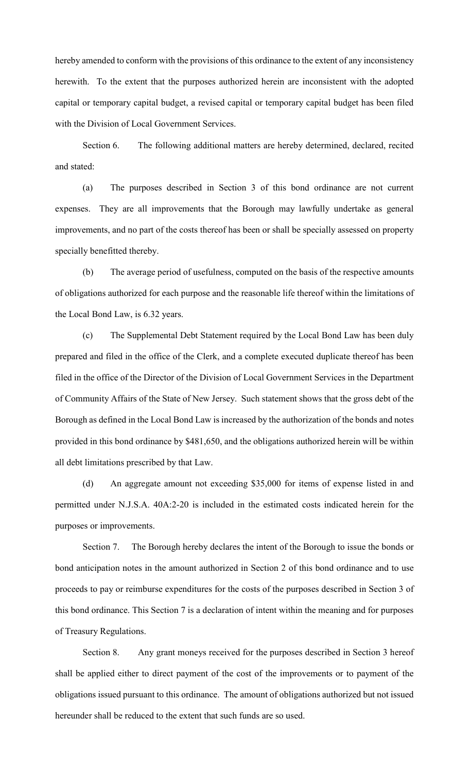hereby amended to conform with the provisions of this ordinance to the extent of any inconsistency herewith. To the extent that the purposes authorized herein are inconsistent with the adopted capital or temporary capital budget, a revised capital or temporary capital budget has been filed with the Division of Local Government Services.

Section 6. The following additional matters are hereby determined, declared, recited and stated:

(a) The purposes described in Section 3 of this bond ordinance are not current expenses. They are all improvements that the Borough may lawfully undertake as general improvements, and no part of the costs thereof has been or shall be specially assessed on property specially benefitted thereby.

(b) The average period of usefulness, computed on the basis of the respective amounts of obligations authorized for each purpose and the reasonable life thereof within the limitations of the Local Bond Law, is 6.32 years.

(c) The Supplemental Debt Statement required by the Local Bond Law has been duly prepared and filed in the office of the Clerk, and a complete executed duplicate thereof has been filed in the office of the Director of the Division of Local Government Services in the Department of Community Affairs of the State of New Jersey. Such statement shows that the gross debt of the Borough as defined in the Local Bond Law is increased by the authorization of the bonds and notes provided in this bond ordinance by \$481,650, and the obligations authorized herein will be within all debt limitations prescribed by that Law.

(d) An aggregate amount not exceeding \$35,000 for items of expense listed in and permitted under N.J.S.A. 40A:2-20 is included in the estimated costs indicated herein for the purposes or improvements.

Section 7. The Borough hereby declares the intent of the Borough to issue the bonds or bond anticipation notes in the amount authorized in Section 2 of this bond ordinance and to use proceeds to pay or reimburse expenditures for the costs of the purposes described in Section 3 of this bond ordinance. This Section 7 is a declaration of intent within the meaning and for purposes of Treasury Regulations.

Section 8. Any grant moneys received for the purposes described in Section 3 hereof shall be applied either to direct payment of the cost of the improvements or to payment of the obligations issued pursuant to this ordinance. The amount of obligations authorized but not issued hereunder shall be reduced to the extent that such funds are so used.